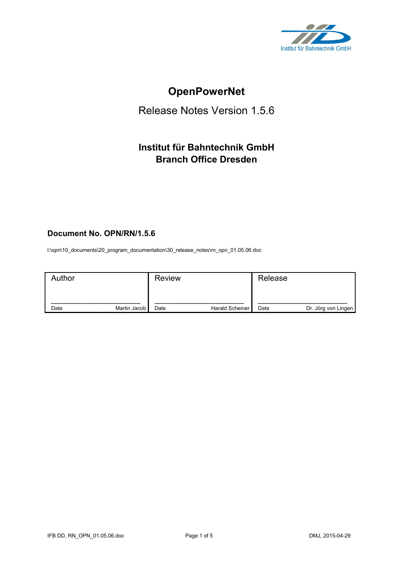

# **OpenPowerNet**

# Release Notes Version 1.5.6

# **Institut für Bahntechnik GmbH Branch Office Dresden**

## **Document No. OPN/RN/1.5.6**

l:\opn\10\_documents\20\_program\_documentation\30\_release\_notes\rn\_opn\_01.05.06.doc

| Author |                | <b>Review</b> |                 | Release |                     |
|--------|----------------|---------------|-----------------|---------|---------------------|
| Date   | Martin Jacob I | Date          | Harald Scheiner | Date    | Dr. Jörg von Lingen |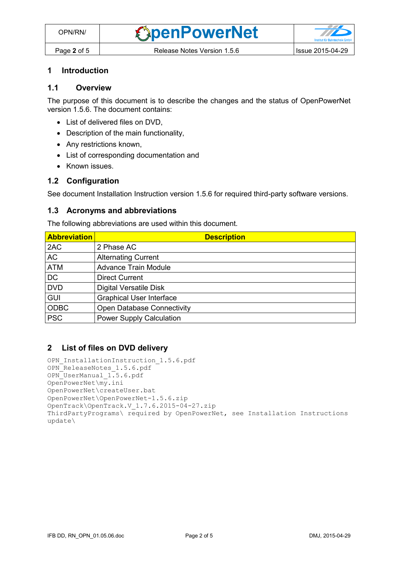#### **1 Introduction**

## **1.1 Overview**

The purpose of this document is to describe the changes and the status of OpenPowerNet version 1.5.6. The document contains:

- List of delivered files on DVD.
- Description of the main functionality,
- Any restrictions known,
- List of corresponding documentation and
- Known issues.

#### **1.2 Configuration**

See document Installation Instruction version 1.5.6 for required third-party software versions.

#### **1.3 Acronyms and abbreviations**

The following abbreviations are used within this document.

| <b>Abbreviation</b> | <b>Description</b>                |
|---------------------|-----------------------------------|
| 2AC                 | 2 Phase AC                        |
| <b>AC</b>           | <b>Alternating Current</b>        |
| <b>ATM</b>          | <b>Advance Train Module</b>       |
| <b>DC</b>           | <b>Direct Current</b>             |
| <b>DVD</b>          | <b>Digital Versatile Disk</b>     |
| <b>GUI</b>          | <b>Graphical User Interface</b>   |
| <b>ODBC</b>         | <b>Open Database Connectivity</b> |
| <b>PSC</b>          | <b>Power Supply Calculation</b>   |

#### **2 List of files on DVD delivery**

```
OPN InstallationInstruction 1.5.6.pdf
OPN_ReleaseNotes_1.5.6.pdf
OPN_UserManual_1.5.6.pdf
OpenPowerNet\my.ini
OpenPowerNet\createUser.bat
OpenPowerNet\OpenPowerNet-1.5.6.zip
OpenTrack\OpenTrack.V_1.7.6.2015-04-27.zip
ThirdPartyPrograms\ required by OpenPowerNet, see Installation Instructions
update\
```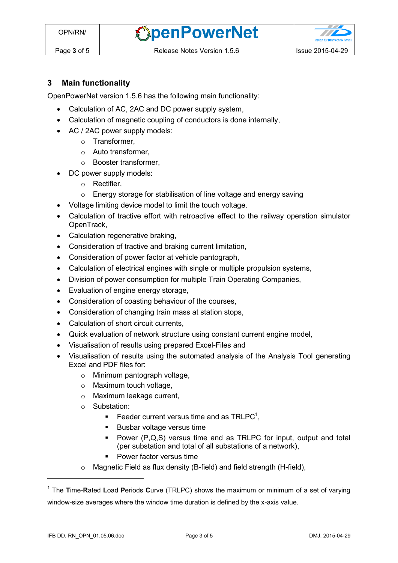**OpenPowerNet** 



## **3 Main functionality**

OpenPowerNet version 1.5.6 has the following main functionality:

- Calculation of AC, 2AC and DC power supply system,
- Calculation of magnetic coupling of conductors is done internally,
- AC / 2AC power supply models:
	- o Transformer,
	- o Auto transformer,
	- o Booster transformer,
- DC power supply models:
	- o Rectifier,
	- o Energy storage for stabilisation of line voltage and energy saving
- Voltage limiting device model to limit the touch voltage.
- Calculation of tractive effort with retroactive effect to the railway operation simulator OpenTrack,
- Calculation regenerative braking,
- Consideration of tractive and braking current limitation,
- Consideration of power factor at vehicle pantograph,
- Calculation of electrical engines with single or multiple propulsion systems,
- Division of power consumption for multiple Train Operating Companies,
- Evaluation of engine energy storage,
- Consideration of coasting behaviour of the courses,
- Consideration of changing train mass at station stops,
- Calculation of short circuit currents,
- Quick evaluation of network structure using constant current engine model,
- Visualisation of results using prepared Excel-Files and
- <span id="page-2-0"></span> Visualisation of results using the automated analysis of the Analysis Tool generating Excel and PDF files for:
	- o Minimum pantograph voltage,
	- o Maximum touch voltage,
	- o Maximum leakage current,
	- o Substation:
		- Feeder current versus time and as  $TRLPC<sup>1</sup>$ ,
		- **Busbar voltage versus time**
		- Power (P,Q,S) versus time and as TRLPC for input, output and total (per substation and total of all substations of a network),
		- **•** Power factor versus time
	- o Magnetic Field as flux density (B-field) and field strength (H-field),

 $\overline{a}$ 

<sup>1</sup> The **T**ime-**R**ated **L**oad **P**eriods **C**urve (TRLPC) shows the maximum or minimum of a set of varying window-size averages where the window time duration is defined by the x-axis value.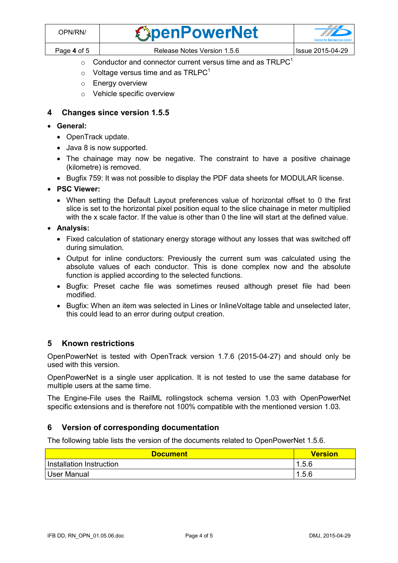| DPN/RN/     | <b><i><u>CapenPowerNet</u></i></b> |                    |
|-------------|------------------------------------|--------------------|
| Page 4 of 5 | Release Notes Version 1.5.6        | ' Issue 2015-04-29 |

- $\circ$  [C](#page-2-0)onductor and connector current versus time and as TRLPC<sup>1</sup>
- $\circ$  Voltage versus time and as TRLPC<sup>[1](#page-2-0)</sup>
- o Energy overview
- o Vehicle specific overview

### **4 Changes since version 1.5.5**

- **General:**
	- OpenTrack update.
	- Java 8 is now supported.
	- The chainage may now be negative. The constraint to have a positive chainage (kilometre) is removed.
	- Bugfix 759: It was not possible to display the PDF data sheets for MODULAR license.
- **PSC Viewer:** 
	- When setting the Default Layout preferences value of horizontal offset to 0 the first slice is set to the horizontal pixel position equal to the slice chainage in meter multiplied with the x scale factor. If the value is other than 0 the line will start at the defined value.
- **Analysis:**
	- Fixed calculation of stationary energy storage without any losses that was switched off during simulation.
	- Output for inline conductors: Previously the current sum was calculated using the absolute values of each conductor. This is done complex now and the absolute function is applied according to the selected functions.
	- Bugfix: Preset cache file was sometimes reused although preset file had been modified.
	- Bugfix: When an item was selected in Lines or InlineVoltage table and unselected later, this could lead to an error during output creation.

#### **5 Known restrictions**

OpenPowerNet is tested with OpenTrack version 1.7.6 (2015-04-27) and should only be used with this version.

OpenPowerNet is a single user application. It is not tested to use the same database for multiple users at the same time.

The Engine-File uses the RailML rollingstock schema version 1.03 with OpenPowerNet specific extensions and is therefore not 100% compatible with the mentioned version 1.03.

#### **6 Version of corresponding documentation**

The following table lists the version of the documents related to OpenPowerNet 1.5.6.

| <b>Document</b>          | <b>Version</b> |
|--------------------------|----------------|
| Installation Instruction | 1.5.6          |
| User Manual              | i .5.6<br>-1   |